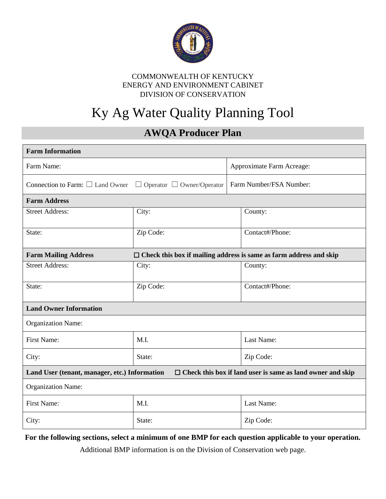

# Ky Ag Water Quality Planning Tool

## **AWQA Producer Plan**

| <b>Farm Information</b>                                                                                            |           |                                                                           |  |  |  |
|--------------------------------------------------------------------------------------------------------------------|-----------|---------------------------------------------------------------------------|--|--|--|
| Farm Name:                                                                                                         |           | Approximate Farm Acreage:                                                 |  |  |  |
| Connection to Farm: $\square$ Land Owner $\square$ Operator $\square$ Owner/Operator                               |           | Farm Number/FSA Number:                                                   |  |  |  |
| <b>Farm Address</b>                                                                                                |           |                                                                           |  |  |  |
| <b>Street Address:</b>                                                                                             | City:     | County:                                                                   |  |  |  |
| State:                                                                                                             | Zip Code: | Contact#/Phone:                                                           |  |  |  |
| <b>Farm Mailing Address</b>                                                                                        |           | $\Box$ Check this box if mailing address is same as farm address and skip |  |  |  |
| <b>Street Address:</b>                                                                                             | City:     | County:                                                                   |  |  |  |
| State:                                                                                                             | Zip Code: | Contact#/Phone:                                                           |  |  |  |
| <b>Land Owner Information</b>                                                                                      |           |                                                                           |  |  |  |
| <b>Organization Name:</b>                                                                                          |           |                                                                           |  |  |  |
| First Name:                                                                                                        | M.I.      | Last Name:                                                                |  |  |  |
| City:                                                                                                              | State:    | Zip Code:                                                                 |  |  |  |
| $\Box$ Check this box if land user is same as land owner and skip<br>Land User (tenant, manager, etc.) Information |           |                                                                           |  |  |  |
| <b>Organization Name:</b>                                                                                          |           |                                                                           |  |  |  |
| <b>First Name:</b>                                                                                                 | M.I.      | Last Name:                                                                |  |  |  |
| City:                                                                                                              | State:    | Zip Code:                                                                 |  |  |  |

**For the following sections, select a minimum of one BMP for each question applicable to your operation.** 

Additional BMP information is on the Division of Conservation web page.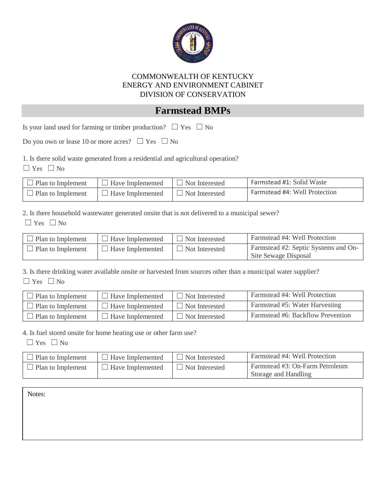

### **Farmstead BMPs**

Is your land used for farming or timber production?  $\Box$  Yes  $\Box$  No

Do you own or lease 10 or more acres?  $\Box$  Yes  $\Box$  No

1. Is there solid waste generated from a residential and agricultural operation?

 $\Box$  Yes  $\Box$  No

| $\Box$ Plan to Implement | $\Box$ Have Implemented | $\Box$ Not Interested | Farmstead #1: Solid Waste     |
|--------------------------|-------------------------|-----------------------|-------------------------------|
| $\Box$ Plan to Implement | $\Box$ Have Implemented | $\Box$ Not Interested | Farmstead #4: Well Protection |

2. Is there household wastewater generated onsite that is not delivered to a municipal sewer?  $\Box$  Yes  $\Box$  No

| Plan to Implement | Have Implemented        | $\Box$ Not Interested | Farmstead #4: Well Protection                                |
|-------------------|-------------------------|-----------------------|--------------------------------------------------------------|
| Plan to Implement | <b>Have Implemented</b> | Not Interested        | Farmstead #2: Septic Systems and On-<br>Site Sewage Disposal |

3. Is there drinking water available onsite or harvested from sources other than a municipal water supplier?  $\Box$  Yes  $\Box$  No

| Plan to Implement | Have Implemented | Not Interested        | Farmstead #4: Well Protection     |
|-------------------|------------------|-----------------------|-----------------------------------|
| Plan to Implement | Have Implemented | $\Box$ Not Interested | Farmstead #5: Water Harvesting    |
| Plan to Implement | Have Implemented | Not Interested        | Farmstead #6: Backflow Prevention |

4. Is fuel stored onsite for home heating use or other farm use?

 $\Box$  Yes  $\Box$  No

| $\Box$ Plan to Implement | $\Box$ Have Implemented | $\Box$ Not Interested | Farmstead #4: Well Protection                           |
|--------------------------|-------------------------|-----------------------|---------------------------------------------------------|
| $\Box$ Plan to Implement | Have Implemented        | Not Interested        | Farmstead #3: On-Farm Petroleum<br>Storage and Handling |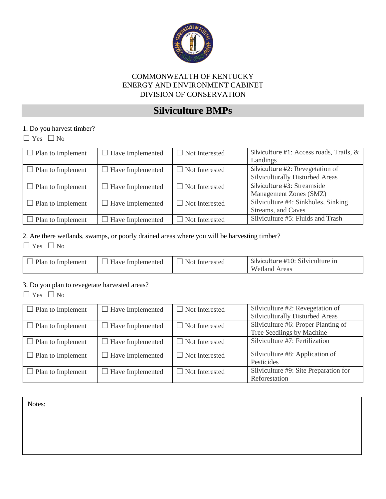

## **Silviculture BMPs**

#### 1. Do you harvest timber?

☐ Yes ☐ No

| $\Box$ Plan to Implement | $\Box$ Have Implemented | $\Box$ Not Interested | Silviculture #1: Access roads, Trails, & |
|--------------------------|-------------------------|-----------------------|------------------------------------------|
|                          |                         |                       | Landings                                 |
| $\Box$ Plan to Implement | $\Box$ Have Implemented | $\Box$ Not Interested | Silviculture #2: Revegetation of         |
|                          |                         |                       | Silviculturally Disturbed Areas          |
| $\Box$ Plan to Implement | $\Box$ Have Implemented | $\Box$ Not Interested | Silviculture #3: Streamside              |
|                          |                         |                       | Management Zones (SMZ)                   |
| $\Box$ Plan to Implement | $\Box$ Have Implemented | $\Box$ Not Interested | Silviculture #4: Sinkholes, Sinking      |
|                          |                         |                       | Streams, and Caves                       |
| $\Box$ Plan to Implement | $\Box$ Have Implemented | Not Interested        | Silviculture #5: Fluids and Trash        |

#### 2. Are there wetlands, swamps, or poorly drained areas where you will be harvesting timber?

☐ Yes ☐ No

| $\perp$ Plan to Implement | <b>Have Implemented</b> | Not Interested | Silviculture #10: Silviculture in |
|---------------------------|-------------------------|----------------|-----------------------------------|
|                           |                         |                | <b>Wetland Areas</b>              |

#### 3. Do you plan to revegetate harvested areas?

☐ Yes ☐ No

| $\Box$ Plan to Implement | $\Box$ Have Implemented | $\Box$ Not Interested | Silviculture #2: Revegetation of<br>Silviculturally Disturbed Areas |
|--------------------------|-------------------------|-----------------------|---------------------------------------------------------------------|
| $\Box$ Plan to Implement | $\Box$ Have Implemented | $\Box$ Not Interested | Silviculture #6: Proper Planting of<br>Tree Seedlings by Machine    |
| $\Box$ Plan to Implement | $\Box$ Have Implemented | $\Box$ Not Interested | Silviculture #7: Fertilization                                      |
| $\Box$ Plan to Implement | $\Box$ Have Implemented | $\Box$ Not Interested | Silviculture #8: Application of<br>Pesticides                       |
| $\Box$ Plan to Implement | $\Box$ Have Implemented | $\Box$ Not Interested | Silviculture #9: Site Preparation for<br>Reforestation              |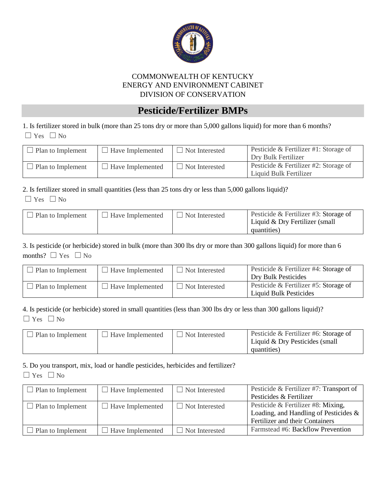

### **Pesticide/Fertilizer BMPs**

1. Is fertilizer stored in bulk (more than 25 tons dry or more than 5,000 gallons liquid) for more than 6 months? ☐ Yes ☐ No

| $\Box$ Plan to Implement | $\Box$ Have Implemented | $\Box$ Not Interested | Pesticide & Fertilizer #1: Storage of<br>Dry Bulk Fertilizer    |
|--------------------------|-------------------------|-----------------------|-----------------------------------------------------------------|
| Plan to Implement        | Have Implemented        | $\Box$ Not Interested | Pesticide & Fertilizer #2: Storage of<br>Liquid Bulk Fertilizer |

#### 2. Is fertilizer stored in small quantities (less than 25 tons dry or less than 5,000 gallons liquid)?

| $-1$<br>$\sim$ |  |  |
|----------------|--|--|
|----------------|--|--|

| Plan to Implement | Have Implemented | Not Interested | Pesticide & Fertilizer #3: Storage of<br>Liquid & Dry Fertilizer (small<br>quantities) |
|-------------------|------------------|----------------|----------------------------------------------------------------------------------------|
|                   |                  |                |                                                                                        |

3. Is pesticide (or herbicide) stored in bulk (more than 300 lbs dry or more than 300 gallons liquid) for more than 6 months?  $\square$  Yes  $\square$  No

| Plan to Implement         | $\Box$ Have Implemented | $\Box$ Not Interested | Pesticide & Fertilizer #4: Storage of<br>Dry Bulk Pesticides    |
|---------------------------|-------------------------|-----------------------|-----------------------------------------------------------------|
| $\perp$ Plan to Implement | Have Implemented        | $\Box$ Not Interested | Pesticide & Fertilizer #5: Storage of<br>Liquid Bulk Pesticides |

#### 4. Is pesticide (or herbicide) stored in small quantities (less than 300 lbs dry or less than 300 gallons liquid)? ☐ Yes ☐ No

| Plan to Implement | $\perp$ Have Implemented | Not Interested | Pesticide & Fertilizer #6: Storage of<br>Liquid $&$ Dry Pesticides (small |
|-------------------|--------------------------|----------------|---------------------------------------------------------------------------|
|                   |                          |                | quantities)                                                               |

#### 5. Do you transport, mix, load or handle pesticides, herbicides and fertilizer?

| $\Box$ Plan to Implement | $\Box$ Have Implemented | $\Box$ Not Interested | Pesticide & Fertilizer #7: Transport of<br>Pesticides & Fertilizer                                                |
|--------------------------|-------------------------|-----------------------|-------------------------------------------------------------------------------------------------------------------|
| $\Box$ Plan to Implement | $\Box$ Have Implemented | $\Box$ Not Interested | Pesticide & Fertilizer #8: Mixing,<br>Loading, and Handling of Pesticides $\&$<br>Fertilizer and their Containers |
| Plan to Implement        | $\Box$ Have Implemented | $\Box$ Not Interested | Farmstead #6: Backflow Prevention                                                                                 |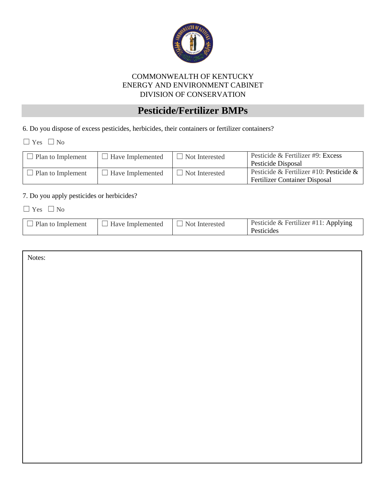

## **Pesticide/Fertilizer BMPs**

6. Do you dispose of excess pesticides, herbicides, their containers or fertilizer containers?

☐ Yes ☐ No

| Plan to Implement | $\Box$ Have Implemented | $\Box$ Not Interested | Pesticide & Fertilizer #9: Excess<br>Pesticide Disposal                         |
|-------------------|-------------------------|-----------------------|---------------------------------------------------------------------------------|
| Plan to Implement | $\Box$ Have Implemented | Not Interested        | Pesticide & Fertilizer #10: Pesticide &<br><b>Fertilizer Container Disposal</b> |

#### 7. Do you apply pesticides or herbicides?

☐ Yes ☐ No

| Have Implemented<br>$\Box$ Not Interested<br>$\Box$ Plan to Implement<br>Pesticides | Pesticide & Fertilizer #11: Applying |
|-------------------------------------------------------------------------------------|--------------------------------------|
|-------------------------------------------------------------------------------------|--------------------------------------|

| Notes: |  |
|--------|--|
|        |  |
|        |  |
|        |  |
|        |  |
|        |  |
|        |  |
|        |  |
|        |  |
|        |  |
|        |  |
|        |  |
|        |  |
|        |  |
|        |  |
|        |  |
|        |  |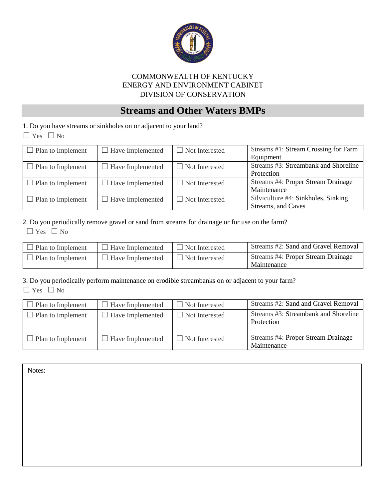

### **Streams and Other Waters BMPs**

1. Do you have streams or sinkholes on or adjacent to your land?

☐ Yes ☐ No

| $\Box$ Plan to Implement | $\Box$ Have Implemented | $\Box$ Not Interested | Streams #1: Stream Crossing for Farm |
|--------------------------|-------------------------|-----------------------|--------------------------------------|
|                          |                         |                       | Equipment                            |
| $\Box$ Plan to Implement | $\Box$ Have Implemented | $\Box$ Not Interested | Streams #3: Streambank and Shoreline |
|                          |                         |                       | Protection                           |
| $\Box$ Plan to Implement | $\Box$ Have Implemented | $\Box$ Not Interested | Streams #4: Proper Stream Drainage   |
|                          |                         |                       | Maintenance                          |
| $\Box$ Plan to Implement | $\Box$ Have Implemented | $\Box$ Not Interested | Silviculture #4: Sinkholes, Sinking  |
|                          |                         |                       | Streams, and Caves                   |

#### 2. Do you periodically remove gravel or sand from streams for drainage or for use on the farm?

☐ Yes ☐ No

| Plan to Implement | $\Box$ Have Implemented | $\Box$ Not Interested | Streams #2: Sand and Gravel Removal               |
|-------------------|-------------------------|-----------------------|---------------------------------------------------|
| Plan to Implement | $\Box$ Have Implemented | $\Box$ Not Interested | Streams #4: Proper Stream Drainage<br>Maintenance |

3. Do you periodically perform maintenance on erodible streambanks on or adjacent to your farm?  $\Box$  Yes  $\Box$  No

| $\Box$ Plan to Implement | $\Box$ Have Implemented | $\Box$ Not Interested | Streams #2: Sand and Gravel Removal                |
|--------------------------|-------------------------|-----------------------|----------------------------------------------------|
| $\Box$ Plan to Implement | $\Box$ Have Implemented | $\Box$ Not Interested | Streams #3: Streambank and Shoreline<br>Protection |
| $\Box$ Plan to Implement | $\Box$ Have Implemented | $\Box$ Not Interested | Streams #4: Proper Stream Drainage<br>Maintenance  |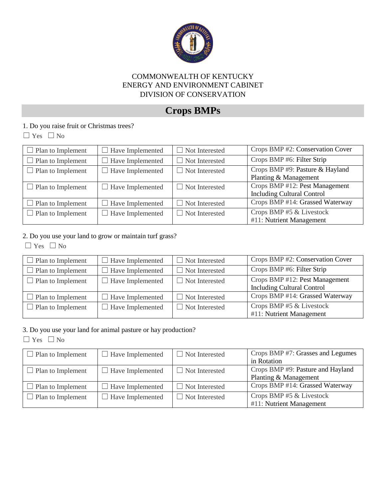

## **Crops BMPs**

### 1. Do you raise fruit or Christmas trees?

☐ Yes ☐ No

| $\Box$ Plan to Implement | $\Box$ Have Implemented | $\Box$ Not Interested | Crops BMP #2: Conservation Cover                                    |
|--------------------------|-------------------------|-----------------------|---------------------------------------------------------------------|
| $\Box$ Plan to Implement | Have Implemented        | $\Box$ Not Interested | Crops BMP #6: Filter Strip                                          |
| $\Box$ Plan to Implement | $\Box$ Have Implemented | $\Box$ Not Interested | Crops BMP #9: Pasture & Hayland<br>Planting & Management            |
| $\Box$ Plan to Implement | $\Box$ Have Implemented | $\Box$ Not Interested | Crops BMP #12: Pest Management<br><b>Including Cultural Control</b> |
| $\Box$ Plan to Implement | $\Box$ Have Implemented | $\Box$ Not Interested | Crops BMP #14: Grassed Waterway                                     |
| $\Box$ Plan to Implement | $\Box$ Have Implemented | $\Box$ Not Interested | Crops BMP #5 & Livestock<br>#11: Nutrient Management                |

#### 2. Do you use your land to grow or maintain turf grass?

☐ Yes ☐ No

| $\Box$ Plan to Implement | $\Box$ Have Implemented | $\Box$ Not Interested | Crops BMP #2: Conservation Cover  |
|--------------------------|-------------------------|-----------------------|-----------------------------------|
| $\Box$ Plan to Implement | $\Box$ Have Implemented | $\Box$ Not Interested | Crops BMP #6: Filter Strip        |
| $\Box$ Plan to Implement | $\Box$ Have Implemented | $\Box$ Not Interested | Crops BMP #12: Pest Management    |
|                          |                         |                       | <b>Including Cultural Control</b> |
| $\Box$ Plan to Implement | $\Box$ Have Implemented | $\Box$ Not Interested | Crops BMP #14: Grassed Waterway   |
| $\Box$ Plan to Implement | $\Box$ Have Implemented | $\Box$ Not Interested | Crops BMP #5 & Livestock          |
|                          |                         |                       | #11: Nutrient Management          |

#### 3. Do you use your land for animal pasture or hay production?

| $\Box$ Plan to Implement | $\Box$ Have Implemented | $\Box$ Not Interested | Crops BMP #7: Grasses and Legumes |
|--------------------------|-------------------------|-----------------------|-----------------------------------|
|                          |                         |                       | in Rotation                       |
| $\Box$ Plan to Implement | $\Box$ Have Implemented | $\Box$ Not Interested | Crops BMP #9: Pasture and Hayland |
|                          |                         |                       | Planting & Management             |
| $\Box$ Plan to Implement | $\Box$ Have Implemented | $\Box$ Not Interested | Crops BMP #14: Grassed Waterway   |
| $\Box$ Plan to Implement | $\Box$ Have Implemented | $\Box$ Not Interested | Crops BMP #5 & Livestock          |
|                          |                         |                       | #11: Nutrient Management          |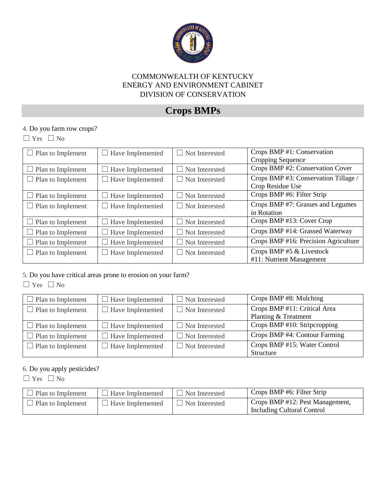

## **Crops BMPs**

#### 4. Do you farm row crops?

 $\Box$  Yes  $\Box$  No

| $\Box$ Plan to Implement | $\Box$ Have Implemented | $\Box$ Not Interested     | Crops BMP #1: Conservation           |
|--------------------------|-------------------------|---------------------------|--------------------------------------|
|                          |                         |                           | Cropping Sequence                    |
| $\Box$ Plan to Implement | Have Implemented        | $\Box$ Not Interested     | Crops BMP #2: Conservation Cover     |
| $\Box$ Plan to Implement | $\Box$ Have Implemented | $\Box$ Not Interested     | Crops BMP #3: Conservation Tillage / |
|                          |                         |                           | Crop Residue Use                     |
| $\Box$ Plan to Implement | $\Box$ Have Implemented | $\Box$ Not Interested     | Crops BMP #6: Filter Strip           |
| $\Box$ Plan to Implement | Have Implemented        | $\Box$ Not Interested     | Crops BMP #7: Grasses and Legumes    |
|                          |                         |                           | in Rotation                          |
| $\Box$ Plan to Implement | Have Implemented        | $\Box$ Not Interested     | Crops BMP #13: Cover Crop            |
| $\Box$ Plan to Implement | Have Implemented        | $\Box$ Not Interested     | Crops BMP #14: Grassed Waterway      |
| Plan to Implement        | Have Implemented        | Not Interested<br>$\perp$ | Crops BMP #16: Precision Agriculture |
| $\Box$ Plan to Implement | Have Implemented        | Not Interested<br>$\perp$ | Crops BMP #5 & Livestock             |
|                          |                         |                           | #11: Nutrient Management             |

5. Do you have critical areas prone to erosion on your farm?

 $\Box$  Yes  $\Box$  No

| $\Box$ Plan to Implement | $\Box$ Have Implemented | $\Box$ Not Interested | Crops BMP #8: Mulching        |
|--------------------------|-------------------------|-----------------------|-------------------------------|
| $\Box$ Plan to Implement | $\Box$ Have Implemented | $\Box$ Not Interested | Crops BMP #11: Critical Area  |
|                          |                         |                       | Planting & Treatment          |
| $\Box$ Plan to Implement | $\Box$ Have Implemented | $\Box$ Not Interested | Crops BMP #10: Stripcropping  |
| $\Box$ Plan to Implement | $\Box$ Have Implemented | $\Box$ Not Interested | Crops BMP #4: Contour Farming |
| $\Box$ Plan to Implement | $\Box$ Have Implemented | $\Box$ Not Interested | Crops BMP #15: Water Control  |
|                          |                         |                       | Structure                     |

#### 6. Do you apply pesticides?

| Plan to Implement | $\Box$ Have Implemented | $\Box$ Not Interested | Crops BMP #6: Filter Strip                                    |
|-------------------|-------------------------|-----------------------|---------------------------------------------------------------|
| Plan to Implement | $\Box$ Have Implemented | Not Interested        | Crops BMP #12: Pest Management,<br>Including Cultural Control |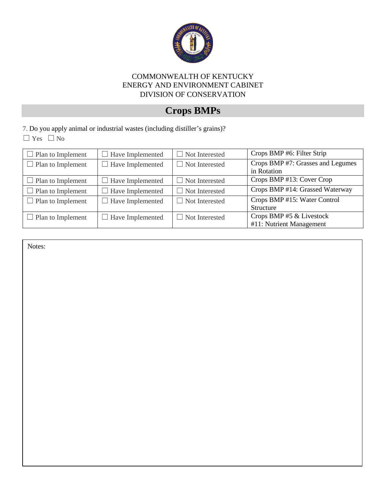

## **Crops BMPs**

7. Do you apply animal or industrial wastes (including distiller's grains)?  $\Box$  Yes  $\Box$  No

| $\Box$ Plan to Implement | $\Box$ Have Implemented | $\Box$ Not Interested | Crops BMP #6: Filter Strip                       |
|--------------------------|-------------------------|-----------------------|--------------------------------------------------|
| $\Box$ Plan to Implement | $\Box$ Have Implemented | $\Box$ Not Interested | Crops BMP #7: Grasses and Legumes<br>in Rotation |
|                          |                         |                       |                                                  |
| $\Box$ Plan to Implement | $\Box$ Have Implemented | $\Box$ Not Interested | Crops BMP #13: Cover Crop                        |
| $\Box$ Plan to Implement | $\Box$ Have Implemented | $\Box$ Not Interested | Crops BMP #14: Grassed Waterway                  |
| $\Box$ Plan to Implement | $\Box$ Have Implemented | $\Box$ Not Interested | Crops BMP #15: Water Control                     |
|                          |                         |                       | <b>Structure</b>                                 |
| $\Box$ Plan to Implement | $\Box$ Have Implemented | $\Box$ Not Interested | Crops BMP #5 & Livestock                         |
|                          |                         |                       | #11: Nutrient Management                         |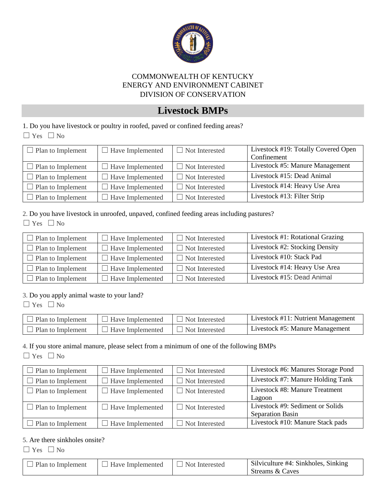

### **Livestock BMPs**

1. Do you have livestock or poultry in roofed, paved or confined feeding areas? ☐ Yes ☐ No

| $\Box$ Plan to Implement | $\Box$ Have Implemented | $\Box$ Not Interested | Livestock #19: Totally Covered Open |
|--------------------------|-------------------------|-----------------------|-------------------------------------|
|                          |                         |                       | Confinement                         |
| $\Box$ Plan to Implement | Have Implemented        | $\Box$ Not Interested | Livestock #5: Manure Management     |
| $\Box$ Plan to Implement | $\Box$ Have Implemented | $\Box$ Not Interested | Livestock #15: Dead Animal          |
| $\Box$ Plan to Implement | $\Box$ Have Implemented | $\Box$ Not Interested | Livestock #14: Heavy Use Area       |
| $\Box$ Plan to Implement | $\Box$ Have Implemented | $\Box$ Not Interested | Livestock #13: Filter Strip         |

2. Do you have livestock in unroofed, unpaved, confined feeding areas including pastures?

| w<br>٠ |  |
|--------|--|
|--------|--|

| $\Box$ Plan to Implement | $\Box$ Have Implemented | $\Box$ Not Interested | Livestock #1: Rotational Grazing |
|--------------------------|-------------------------|-----------------------|----------------------------------|
| Plan to Implement        | $\Box$ Have Implemented | $\Box$ Not Interested | Livestock #2: Stocking Density   |
| $\Box$ Plan to Implement | $\Box$ Have Implemented | $\Box$ Not Interested | Livestock #10: Stack Pad         |
| $\Box$ Plan to Implement | $\Box$ Have Implemented | $\Box$ Not Interested | Livestock #14: Heavy Use Area    |
| $\Box$ Plan to Implement | $\Box$ Have Implemented | $\Box$ Not Interested | Livestock #15: Dead Animal       |

#### 3. Do you apply animal waste to your land?

 $\Box$  Yes  $\Box$  No

| $\Box$ Plan to Implement | $\Box$ Have Implemented | Not Interested | Livestock #11: Nutrient Management |
|--------------------------|-------------------------|----------------|------------------------------------|
| $\Box$ Plan to Implement | <b>Have Implemented</b> | Not Interested | Livestock #5: Manure Management    |

#### 4. If you store animal manure, please select from a minimum of one of the following BMPs

 $\Box$  Yes  $\Box$  No

| $\Box$ Plan to Implement | $\Box$ Have Implemented | $\Box$ Not Interested | Livestock #6: Manures Storage Pond |
|--------------------------|-------------------------|-----------------------|------------------------------------|
| $\Box$ Plan to Implement | $\Box$ Have Implemented | $\Box$ Not Interested | Livestock #7: Manure Holding Tank  |
| $\Box$ Plan to Implement | $\Box$ Have Implemented | $\Box$ Not Interested | Livestock #8: Manure Treatment     |
|                          |                         |                       | Lagoon                             |
| $\Box$ Plan to Implement | $\Box$ Have Implemented | $\Box$ Not Interested | Livestock #9: Sediment or Solids   |
|                          |                         |                       | <b>Separation Basin</b>            |
| $\Box$ Plan to Implement | $\Box$ Have Implemented | $\Box$ Not Interested | Livestock #10: Manure Stack pads   |

#### 5. Are there sinkholes onsite?

☐ Yes ☐ No

| Plan to Implement | $\Box$ Have Implemented | $\Box$ Not Interested | Silviculture #4: Sinkholes, Sinking |
|-------------------|-------------------------|-----------------------|-------------------------------------|
|                   |                         |                       | Streams & Caves                     |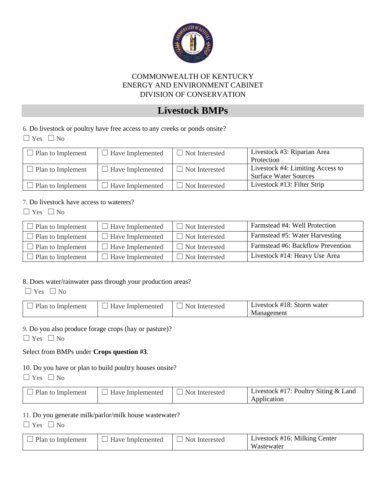

### **Livestock BMPs**

6. Do livestock or poultry have free access to any creeks or ponds onsite?

☐ Yes ☐ No

| $\Box$ Plan to Implement | $\Box$ Have Implemented | $\Box$ Not Interested | Livestock #3: Riparian Area<br>Protection                        |
|--------------------------|-------------------------|-----------------------|------------------------------------------------------------------|
| $\Box$ Plan to Implement | $\Box$ Have Implemented | $\Box$ Not Interested | Livestock #4: Limiting Access to<br><b>Surface Water Sources</b> |
| $\Box$ Plan to Implement | $\Box$ Have Implemented | $\Box$ Not Interested | Livestock #13: Filter Strip                                      |

#### 7. Do livestock have access to waterers?

 $\Box$  Yes  $\Box$  No

| Plan to Implement         | $\Box$ Have Implemented | $\Box$ Not Interested | Farmstead #4: Well Protection     |
|---------------------------|-------------------------|-----------------------|-----------------------------------|
| $\Box$ Plan to Implement  | $\Box$ Have Implemented | $\Box$ Not Interested | Farmstead #5: Water Harvesting    |
| $\perp$ Plan to Implement | $\Box$ Have Implemented | $\Box$ Not Interested | Farmstead #6: Backflow Prevention |
| $\Box$ Plan to Implement  | $\Box$ Have Implemented | $\Box$ Not Interested | Livestock #14: Heavy Use Area     |

#### 8. Does water/rainwater pass through your production areas?

 $\Box$  Yes  $\Box$  No

| Have Implemented<br>Plan to Implement | Not Interested | Livestock #18: Storm water<br>Management |
|---------------------------------------|----------------|------------------------------------------|
|---------------------------------------|----------------|------------------------------------------|

#### 9. Do you also produce forage crops (hay or pasture)?

☐ Yes ☐ No

#### Select from BMPs under **Crops question #3**.

10. Do you have or plan to build poultry houses onsite?

 $\Box$  Yes  $\Box$  No

| $\Box$ Plan to Implement | $\Box$ Have Implemented | Not Interested | Livestock #17: Poultry Siting $&$ Land |
|--------------------------|-------------------------|----------------|----------------------------------------|
|                          |                         |                | Application                            |

#### 11. Do you generate milk/parlor/milk house wastewater?

| Plan to Implement | Have Implemented | Not Interested | Livestock #16: Milking Center |
|-------------------|------------------|----------------|-------------------------------|
|                   |                  |                | Wastewater                    |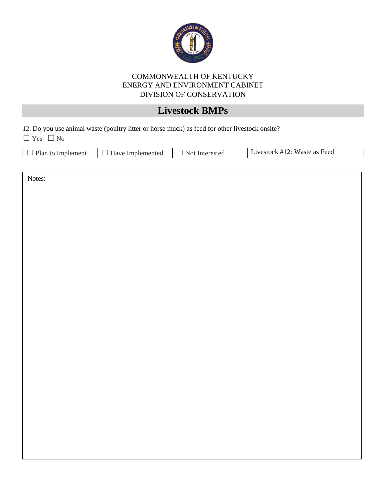

## **Livestock BMPs**

12. Do you use animal waste (poultry litter or horse muck) as feed for other livestock onsite?

 $\Box$  Yes  $\Box$  No

|--|